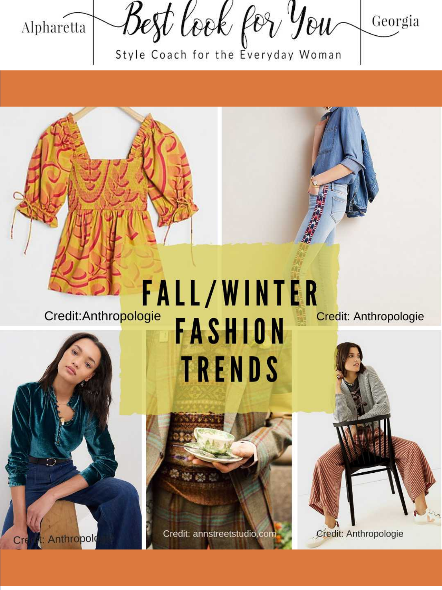

Style Coach for the Everyday Woman



Credit: Anthropologie

Anthropold

# **FALL/WINTER FASHION TRENDS**

Credit: annstreetstudio.com

Credit: Anthropologie

Credit: Anthropologie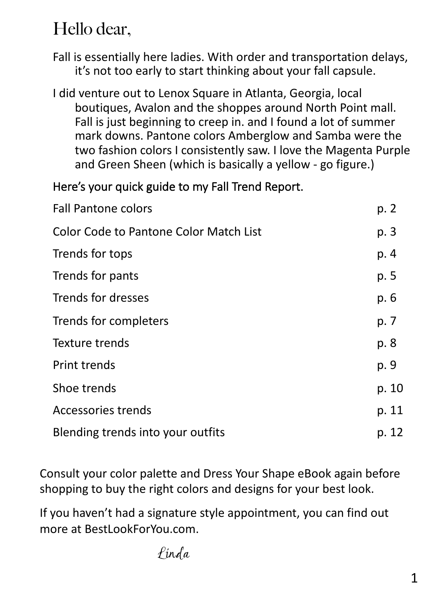# Hello dear,

Fall is essentially here ladies. With order and transportation delays, it's not too early to start thinking about your fall capsule.

I did venture out to Lenox Square in Atlanta, Georgia, local boutiques, Avalon and the shoppes around North Point mall. Fall is just beginning to creep in. and I found a lot of summer mark downs. Pantone colors Amberglow and Samba were the two fashion colors I consistently saw. I love the Magenta Purple and Green Sheen (which is basically a yellow - go figure.)

#### Here's your quick guide to my Fall Trend Report.

| <b>Fall Pantone colors</b>                    | p. 2  |
|-----------------------------------------------|-------|
| <b>Color Code to Pantone Color Match List</b> | p. 3  |
| Trends for tops                               | p. 4  |
| Trends for pants                              | p. 5  |
| Trends for dresses                            | p. 6  |
| Trends for completers                         | p. 7  |
| Texture trends                                | p. 8  |
| <b>Print trends</b>                           | p. 9  |
| Shoe trends                                   | p. 10 |
| <b>Accessories trends</b>                     | p. 11 |
| Blending trends into your outfits             | p. 12 |

Consult your color palette and Dress Your Shape eBook again before shopping to buy the right colors and designs for your best look.

If you haven't had a signature style appointment, you can find out more at BestLookForYou.com.

Linda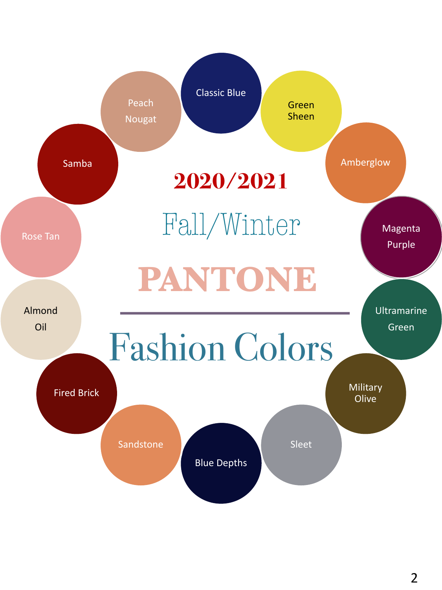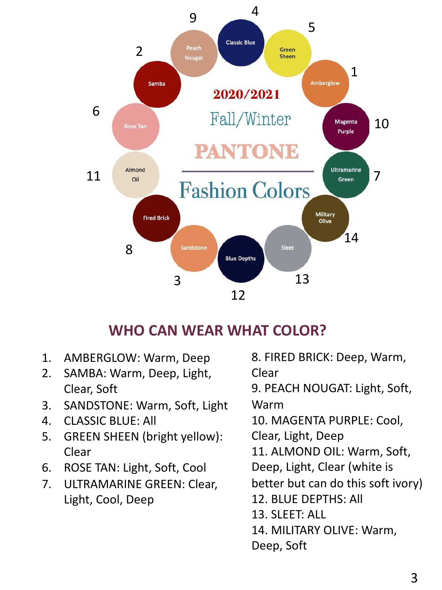

#### **WHO CAN WEAR WHAT COLOR?**

- 1. AMBERGLOW: Warm, Deep
- 2. SAMBA: Warm, Deep, Light, Clear, Soft
- 3. SANDSTONE: Warm, Soft, Light
- 4. CLASSIC BLUE: All
- 5. GREEN SHEEN (bright yellow): Clear
- 6. ROSE TAN: Light, Soft, Cool
- 7. ULTRAMARINE GREEN: Clear, Light, Cool, Deep

8. FIRED BRICK: Deep, Warm, Clear 9. PEACH NOUGAT: Light, Soft, Warm 10. MAGENTA PURPLE: Cool, Clear, Light, Deep 11. ALMOND OIL: Warm, Soft, Deep, Light, Clear (white is better but can do this soft ivory) 12. BLUE DEPTHS: All 13. SLEET: ALL 14. MILITARY OLIVE: Warm, Deep, Soft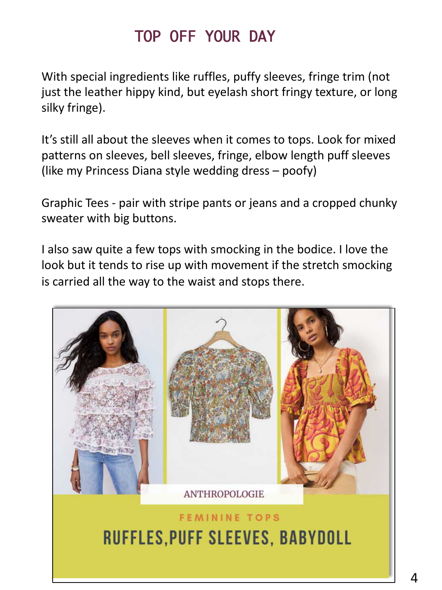### TOP OFF YOUR DAY

With special ingredients like ruffles, puffy sleeves, fringe trim (not just the leather hippy kind, but eyelash short fringy texture, or long silky fringe).

It's still all about the sleeves when it comes to tops. Look for mixed patterns on sleeves, bell sleeves, fringe, elbow length puff sleeves (like my Princess Diana style wedding dress – poofy)

Graphic Tees - pair with stripe pants or jeans and a cropped chunky sweater with big buttons.

I also saw quite a few tops with smocking in the bodice. I love the look but it tends to rise up with movement if the stretch smocking is carried all the way to the waist and stops there.

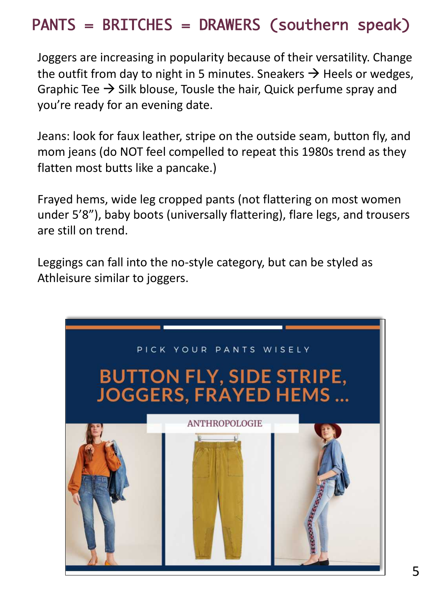## PANTS = BRITCHES = DRAWERS (southern speak)

Joggers are increasing in popularity because of their versatility. Change the outfit from day to night in 5 minutes. Sneakers  $\rightarrow$  Heels or wedges, Graphic Tee  $\rightarrow$  Silk blouse, Tousle the hair, Quick perfume spray and you're ready for an evening date.

Jeans: look for faux leather, stripe on the outside seam, button fly, and mom jeans (do NOT feel compelled to repeat this 1980s trend as they flatten most butts like a pancake.)

Frayed hems, wide leg cropped pants (not flattering on most women under 5'8"), baby boots (universally flattering), flare legs, and trousers are still on trend.

Leggings can fall into the no-style category, but can be styled as Athleisure similar to joggers.

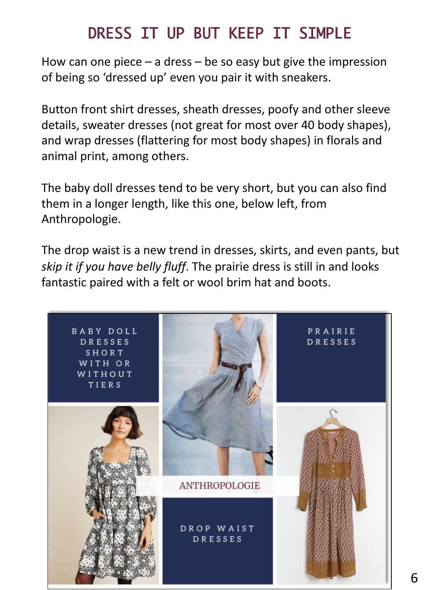## DRESS IT UP BUT KEEP IT SIMPLE

How can one piece  $-$  a dress  $-$  be so easy but give the impression of being so 'dressed up' even you pair it with sneakers.

Button front shirt dresses, sheath dresses, poofy and other sleeve details, sweater dresses (not great for most over 40 body shapes), and wrap dresses (flattering for most body shapes) in florals and animal print, among others.

The baby doll dresses tend to be very short, but you can also find them in a longer length, like this one, below left, from Anthropologie.

The drop waist is a new trend in dresses, skirts, and even pants, but *skip it if you have belly fluff*. The prairie dress is still in and looks fantastic paired with a felt or wool brim hat and boots.

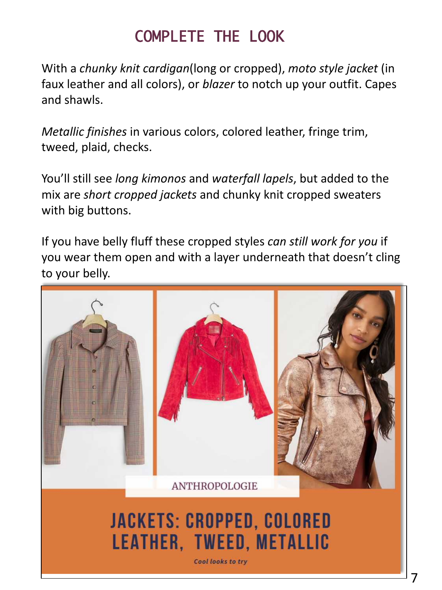# COMPLETE THE LOOK

With a *chunky knit cardigan*(long or cropped), *moto style jacket* (in faux leather and all colors), or *blazer* to notch up your outfit. Capes and shawls.

*Metallic finishes* in various colors, colored leather, fringe trim, tweed, plaid, checks.

You'll still see *long kimonos* and *waterfall lapels*, but added to the mix are *short cropped jackets* and chunky knit cropped sweaters with big buttons.

If you have belly fluff these cropped styles *can still work for you* if you wear them open and with a layer underneath that doesn't cling to your belly.



Cool looks to try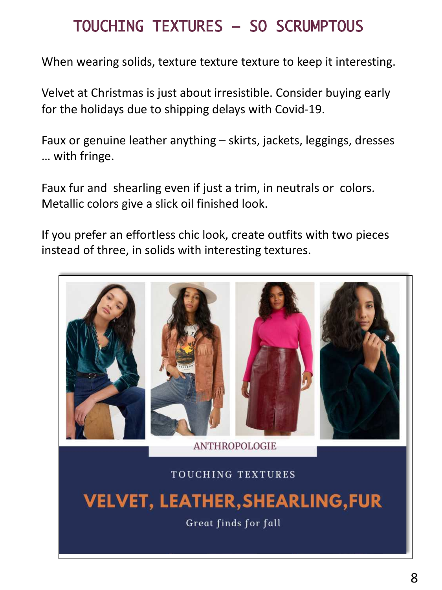### TOUCHING TEXTURES – SO SCRUMPTOUS

When wearing solids, texture texture texture to keep it interesting.

Velvet at Christmas is just about irresistible. Consider buying early for the holidays due to shipping delays with Covid-19.

Faux or genuine leather anything – skirts, jackets, leggings, dresses … with fringe.

Faux fur and shearling even if just a trim, in neutrals or colors. Metallic colors give a slick oil finished look.

If you prefer an effortless chic look, create outfits with two pieces instead of three, in solids with interesting textures.



Great finds for fall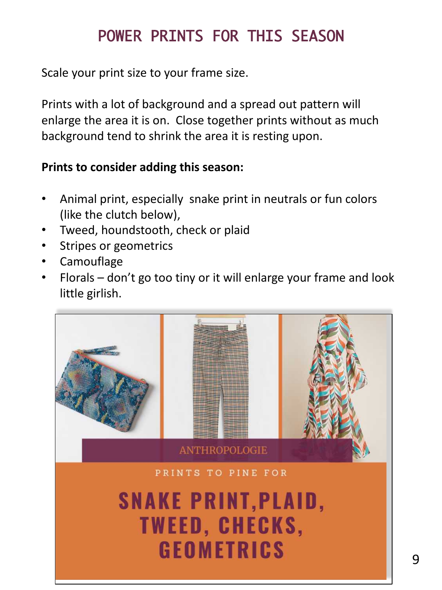# POWER PRINTS FOR THIS SEASON

Scale your print size to your frame size.

Prints with a lot of background and a spread out pattern will enlarge the area it is on. Close together prints without as much background tend to shrink the area it is resting upon.

#### **Prints to consider adding this season:**

- Animal print, especially snake print in neutrals or fun colors (like the clutch below),
- Tweed, houndstooth, check or plaid
- Stripes or geometrics
- Camouflage
- Florals don't go too tiny or it will enlarge your frame and look little girlish.

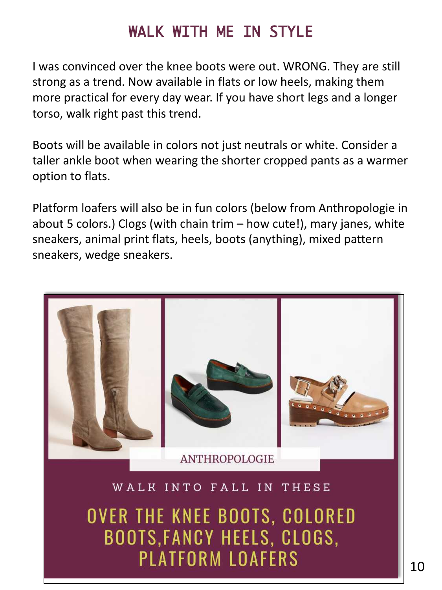### WALK WITH ME IN STYLE

I was convinced over the knee boots were out. WRONG. They are still strong as a trend. Now available in flats or low heels, making them more practical for every day wear. If you have short legs and a longer torso, walk right past this trend.

Boots will be available in colors not just neutrals or white. Consider a taller ankle boot when wearing the shorter cropped pants as a warmer option to flats.

Platform loafers will also be in fun colors (below from Anthropologie in about 5 colors.) Clogs (with chain trim – how cute!), mary janes, white sneakers, animal print flats, heels, boots (anything), mixed pattern sneakers, wedge sneakers.



OVER THE KNEE BOOTS, COLORED BOOTS, FANCY HEELS, CLOGS,

**PLATFORM LOAFERS**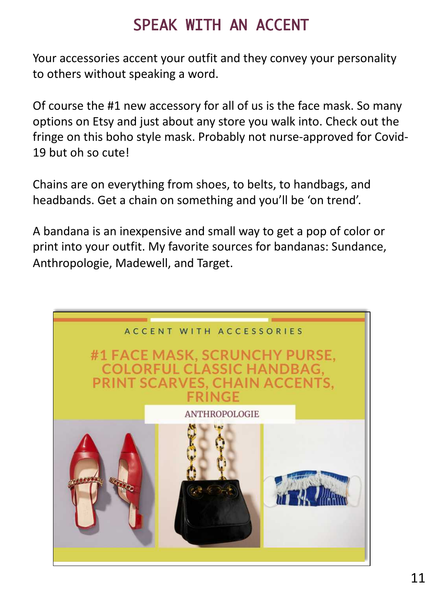### SPEAK WITH AN ACCENT

Your accessories accent your outfit and they convey your personality to others without speaking a word.

Of course the #1 new accessory for all of us is the face mask. So many options on Etsy and just about any store you walk into. Check out the fringe on this boho style mask. Probably not nurse-approved for Covid-19 but oh so cute!

Chains are on everything from shoes, to belts, to handbags, and headbands. Get a chain on something and you'll be 'on trend'.

A bandana is an inexpensive and small way to get a pop of color or print into your outfit. My favorite sources for bandanas: Sundance, Anthropologie, Madewell, and Target.